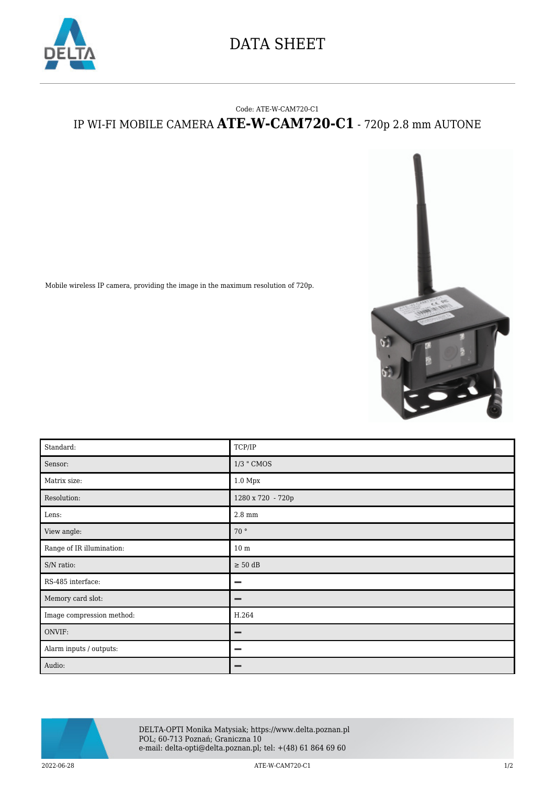

## DATA SHEET

## Code: ATE-W-CAM720-C1 IP WI-FI MOBILE CAMERA **ATE-W-CAM720-C1** - 720p 2.8 mm AUTONE



Mobile wireless IP camera, providing the image in the maximum resolution of 720p.

| Standard:                 | TCP/IP             |
|---------------------------|--------------------|
| Sensor:                   | 1/3 " CMOS         |
| Matrix size:              | 1.0 Mpx            |
| Resolution:               | 1280 x 720 - 720p  |
| Lens:                     | $2.8\;\mathrm{mm}$ |
| View angle:               | 70°                |
| Range of IR illumination: | 10 <sub>m</sub>    |
| S/N ratio:                | $\geq 50$ dB       |
| RS-485 interface:         | -                  |
| Memory card slot:         | –                  |
| Image compression method: | H.264              |
| ONVIF:                    | -                  |
| Alarm inputs / outputs:   | -                  |
| Audio:                    | -                  |



DELTA-OPTI Monika Matysiak; https://www.delta.poznan.pl POL; 60-713 Poznań; Graniczna 10 e-mail: delta-opti@delta.poznan.pl; tel: +(48) 61 864 69 60